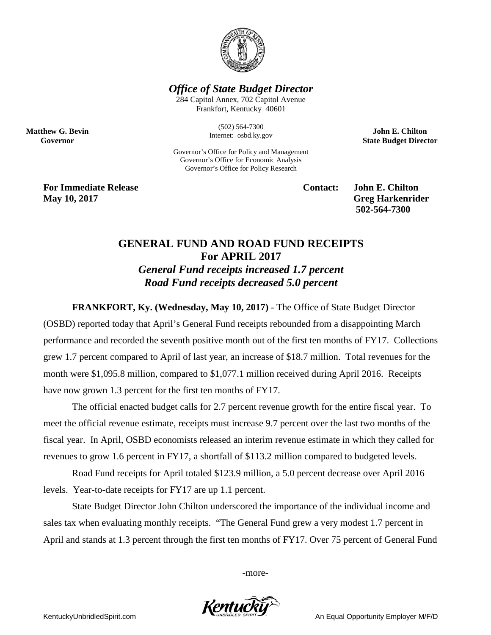

*Office of State Budget Director*

284 Capitol Annex, 702 Capitol Avenue Frankfort, Kentucky 40601

> (502) 564-7300 Internet: osbd.ky.gov

Governor's Office for Policy and Management Governor's Office for Economic Analysis Governor's Office for Policy Research

**John E. Chilton State Budget Director**

**For Immediate Release Contact: John E. Chilton May 10, 2017** Greg Harkenrider

**Matthew G. Bevin Governor**

**502-564-7300** 

## **GENERAL FUND AND ROAD FUND RECEIPTS For APRIL 2017** *General Fund receipts increased 1.7 percent Road Fund receipts decreased 5.0 percent*

**FRANKFORT, Ky. (Wednesday, May 10, 2017)** - The Office of State Budget Director

(OSBD) reported today that April's General Fund receipts rebounded from a disappointing March performance and recorded the seventh positive month out of the first ten months of FY17. Collections grew 1.7 percent compared to April of last year, an increase of \$18.7 million. Total revenues for the month were \$1,095.8 million, compared to \$1,077.1 million received during April 2016. Receipts have now grown 1.3 percent for the first ten months of FY17.

The official enacted budget calls for 2.7 percent revenue growth for the entire fiscal year. To meet the official revenue estimate, receipts must increase 9.7 percent over the last two months of the fiscal year. In April, OSBD economists released an interim revenue estimate in which they called for revenues to grow 1.6 percent in FY17, a shortfall of \$113.2 million compared to budgeted levels.

Road Fund receipts for April totaled \$123.9 million, a 5.0 percent decrease over April 2016 levels. Year-to-date receipts for FY17 are up 1.1 percent.

State Budget Director John Chilton underscored the importance of the individual income and sales tax when evaluating monthly receipts. "The General Fund grew a very modest 1.7 percent in April and stands at 1.3 percent through the first ten months of FY17. Over 75 percent of General Fund

-more-



KentuckyUnbridledSpirit.com An Equal Opportunity Employer M/F/D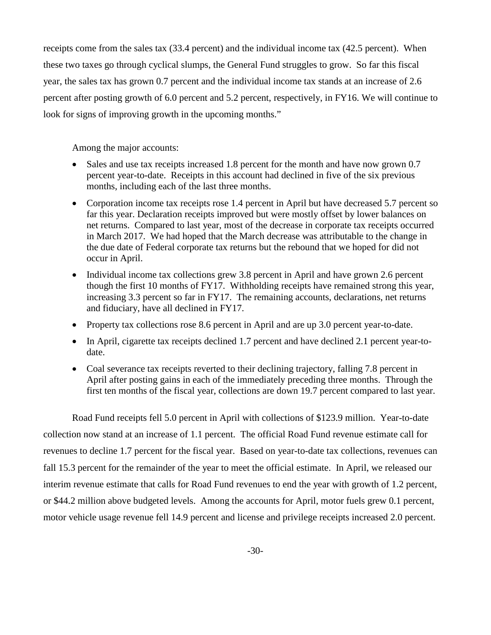receipts come from the sales tax (33.4 percent) and the individual income tax (42.5 percent). When these two taxes go through cyclical slumps, the General Fund struggles to grow. So far this fiscal year, the sales tax has grown 0.7 percent and the individual income tax stands at an increase of 2.6 percent after posting growth of 6.0 percent and 5.2 percent, respectively, in FY16. We will continue to look for signs of improving growth in the upcoming months."

Among the major accounts:

- Sales and use tax receipts increased 1.8 percent for the month and have now grown 0.7 percent year-to-date. Receipts in this account had declined in five of the six previous months, including each of the last three months.
- Corporation income tax receipts rose 1.4 percent in April but have decreased 5.7 percent so far this year. Declaration receipts improved but were mostly offset by lower balances on net returns. Compared to last year, most of the decrease in corporate tax receipts occurred in March 2017. We had hoped that the March decrease was attributable to the change in the due date of Federal corporate tax returns but the rebound that we hoped for did not occur in April.
- Individual income tax collections grew 3.8 percent in April and have grown 2.6 percent though the first 10 months of FY17. Withholding receipts have remained strong this year, increasing 3.3 percent so far in FY17. The remaining accounts, declarations, net returns and fiduciary, have all declined in FY17.
- Property tax collections rose 8.6 percent in April and are up 3.0 percent year-to-date.
- In April, cigarette tax receipts declined 1.7 percent and have declined 2.1 percent year-todate.
- Coal severance tax receipts reverted to their declining trajectory, falling 7.8 percent in April after posting gains in each of the immediately preceding three months. Through the first ten months of the fiscal year, collections are down 19.7 percent compared to last year.

Road Fund receipts fell 5.0 percent in April with collections of \$123.9 million. Year-to-date collection now stand at an increase of 1.1 percent. The official Road Fund revenue estimate call for revenues to decline 1.7 percent for the fiscal year. Based on year-to-date tax collections, revenues can fall 15.3 percent for the remainder of the year to meet the official estimate. In April, we released our interim revenue estimate that calls for Road Fund revenues to end the year with growth of 1.2 percent, or \$44.2 million above budgeted levels. Among the accounts for April, motor fuels grew 0.1 percent, motor vehicle usage revenue fell 14.9 percent and license and privilege receipts increased 2.0 percent.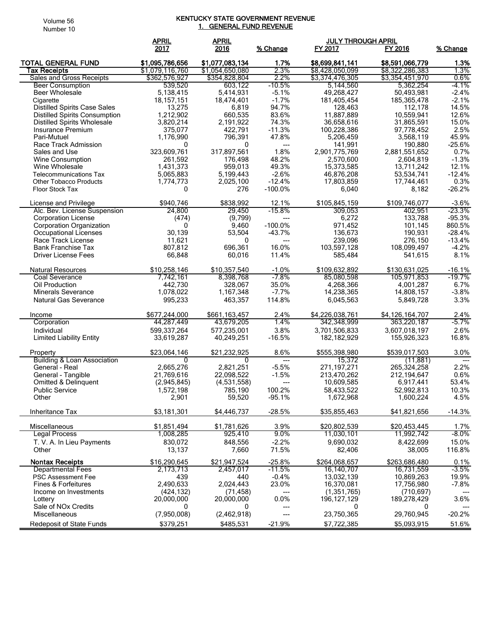## Volume 56 Number 10

## KENTUCKY STATE GOVERNMENT REVENUE <u>1. GENERAL FUND REVENUE</u>

|                                                           | <b>APRIL</b>                       | <b>APRIL</b>                       |                          | <b>JULY THROUGH APRIL</b>          |                                    |                  |
|-----------------------------------------------------------|------------------------------------|------------------------------------|--------------------------|------------------------------------|------------------------------------|------------------|
|                                                           | 2017                               | 2016                               | % Change                 | FY 2017                            | FY 2016                            | % Change         |
| <b>TOTAL GENERAL FUND</b><br>Tax Receipts                 | \$1,095,786,656<br>\$1,079,116,760 | \$1,077,083,134<br>\$1,054,650,080 | 1.7%<br>2.3%             | \$8,699,841,141<br>\$8,428,050,099 | \$8,591,066,779<br>\$8,322,286,383 | 1.3%<br>1.3%     |
| Sales and Gross Receipts                                  | \$362,576,927                      | \$354,828,804                      | 2.2%                     | \$3,374,476,305                    | \$3,354,451,970                    | $0.6\%$          |
| <b>Beer Consumption</b>                                   | 539,520                            | 603,122                            | $-10.5%$                 | 5,144,560                          | 5,362,254                          | -4.1%            |
| <b>Beer Wholesale</b>                                     | 5,138,415                          | 5,414,931                          | $-5.1%$                  | 49,268,427                         | 50,493,981                         | $-2.4%$          |
| Cigarette<br><b>Distilled Spirits Case Sales</b>          | 18, 157, 151<br>13,275             | 18,474,401<br>6,819                | $-1.7%$<br>94.7%         | 181,405,454<br>128,463             | 185,365,478<br>112,178             | $-2.1%$<br>14.5% |
| <b>Distilled Spirits Consumption</b>                      | 1,212,902                          | 660,535                            | 83.6%                    | 11,887,889                         | 10,559,941                         | 12.6%            |
| <b>Distilled Spirits Wholesale</b>                        | 3,820,214                          | 2,191,922                          | 74.3%                    | 36,658,616                         | 31,865,591                         | 15.0%            |
| Insurance Premium                                         | 375,077                            | 422.791                            | $-11.3%$                 | 100,228,386                        | 97,778,452                         | 2.5%             |
| Pari-Mutuel                                               | 1,176,990                          | 796,391                            | 47.8%                    | 5,206,459                          | 3,568,119                          | 45.9%            |
| Race Track Admission                                      | 0                                  | $\mathbf{0}$                       | $\hspace{0.05cm} \ldots$ | 141,991                            | 190,880                            | $-25.6%$         |
| Sales and Use<br>Wine Consumption                         | 323,609,761<br>261,592             | 317,897,561<br>176,498             | 1.8%<br>48.2%            | 2,901,775,769<br>2,570,600         | 2,881,551,652<br>2,604,819         | 0.7%<br>$-1.3%$  |
| Wine Wholesale                                            | 1,431,373                          | 959,013                            | 49.3%                    | 15,373,585                         | 13,711,242                         | 12.1%            |
| <b>Telecommunications Tax</b>                             | 5,065,883                          | 5,199,443                          | $-2.6%$                  | 46,876,208                         | 53,534,741                         | $-12.4%$         |
| <b>Other Tobacco Products</b>                             | 1,774,773                          | 2,025,100                          | $-12.4%$                 | 17,803,859                         | 17,744,461                         | 0.3%             |
| <b>Floor Stock Tax</b>                                    | 0                                  | 276                                | $-100.0%$                | 6,040                              | 8,182                              | $-26.2%$         |
| License and Privilege                                     | \$940,746                          | \$838,992                          | 12.1%                    | \$105,845,159                      | \$109,746,077                      | $-3.6%$          |
| Alc. Bev. License Suspension                              | 24,800                             | 29,450                             | $-15.8%$                 | 309,053                            | 402,951                            | $-23.3%$         |
| <b>Corporation License</b>                                | (474)                              | (9,799)                            | ---                      | 6,272                              | 133,788                            | $-95.3%$         |
| <b>Corporation Organization</b>                           | 0                                  | 9,460                              | $-100.0%$                | 971,452                            | 101,145                            | 860.5%           |
| Occupational Licenses                                     | 30,139                             | 53,504                             | $-43.7%$                 | 136,673                            | 190.931                            | $-28.4%$         |
| Race Track License                                        | 11,621                             | 0                                  | ---                      | 239,096                            | 276,150                            | $-13.4%$         |
| <b>Bank Franchise Tax</b><br><b>Driver License Fees</b>   | 807,812<br>66,848                  | 696,361<br>60,016                  | 16.0%<br>11.4%           | 103,597,128<br>585,484             | 108,099,497<br>541,615             | $-4.2%$<br>8.1%  |
|                                                           |                                    |                                    |                          |                                    |                                    |                  |
| <b>Natural Resources</b>                                  | \$10,258,146                       | \$10,357,540                       | $-1.0%$                  | \$109,632,892                      | \$130,631,025                      | $-16.1%$         |
| Coal Severance                                            | 7,742,161                          | 8,398,768                          | $-7.8%$                  | 85,080,598                         | 105,971,853                        | $-19.7%$         |
| Oil Production                                            | 442,730                            | 328,067                            | 35.0%                    | 4,268,366                          | 4,001,287                          | 6.7%             |
| <b>Minerals Severance</b><br><b>Natural Gas Severance</b> | 1,078,022<br>995,233               | 1,167,348<br>463,357               | $-7.7%$<br>114.8%        | 14,238,365<br>6,045,563            | 14,808,157                         | $-3.8%$<br>3.3%  |
|                                                           |                                    |                                    |                          |                                    | 5,849,728                          |                  |
| Income                                                    | \$677,244,000                      | \$661,163,457                      | 2.4%                     | \$4,226,038,761                    | \$4,126,164,707                    | 2.4%             |
| Corporation                                               | 44,287,449                         | 43,679,205                         | 1.4%                     | 342,348,999                        | 363,220,187                        | -5.7%            |
| Individual                                                | 599,337,264                        | 577,235,001                        | 3.8%                     | 3,701,506,833                      | 3,607,018,197                      | 2.6%             |
| <b>Limited Liability Entity</b>                           | 33,619,287                         | 40,249,251                         | $-16.5%$                 | 182, 182, 929                      | 155,926,323                        | 16.8%            |
| Property                                                  | \$23,064,146                       | \$21,232,925                       | 8.6%                     | \$555,398,980                      | \$539,017,503                      | 3.0%             |
| <b>Building &amp; Loan Association</b>                    | 0                                  | 0                                  | ---                      | 15,372                             | (11, 881)                          |                  |
| General - Real                                            | 2,665,276                          | 2,821,251                          | $-5.5%$                  | 271,197,271                        | 265,324,258                        | 2.2%             |
| General - Tangible                                        | 21,769,616                         | 22,098,522                         | $-1.5%$                  | 213.470.262                        | 212,194,647                        | 0.6%             |
| Omitted & Delinquent<br><b>Public Service</b>             | (2,945,845)                        | (4,531,558)                        | ---<br>100.2%            | 10,609,585                         | 6,917,441                          | 53.4%<br>10.3%   |
| Other                                                     | 1,572,198<br>2,901                 | 785,190<br>59,520                  | $-95.1%$                 | 58,433,522<br>1,672,968            | 52,992,813<br>1,600,224            | 4.5%             |
|                                                           |                                    |                                    |                          |                                    |                                    |                  |
| Inheritance Tax                                           | \$3,181,301                        | \$4,446,737                        | $-28.5%$                 | \$35,855,463                       | \$41,821,656                       | $-14.3%$         |
| Miscellaneous                                             | \$1,851,494                        | \$1,781,626                        | 3.9%                     | \$20,802,539                       | \$20,453,445                       | 1.7%             |
| <b>Legal Process</b>                                      | 1,008,285                          | 925,410                            | $9.0\%$                  | 11,030,101                         | 11,992,742                         | $-8.0\%$         |
| T. V. A. In Lieu Payments                                 | 830,072                            | 848,556                            | $-2.2%$                  | 9,690,032                          | 8,422,699                          | 15.0%            |
| Other                                                     | 13,137                             | 7,660                              | 71.5%                    | 82,406                             | 38,005                             | 116.8%           |
| <b>Nontax Receipts</b>                                    | \$16,290,645                       | \$21,947,524                       | $-25.8%$                 | \$264,068,657                      | \$263.686.480                      | 0.1%             |
| <b>Departmental Fees</b>                                  | 2,173,713                          | 2,457,017                          | $-11.5%$                 | 16,140,707                         | 16,731,559                         | $-3.5%$          |
| <b>PSC Assessment Fee</b>                                 | 439                                | 440                                | $-0.4%$                  | 13,032,139                         | 10,869,263                         | 19.9%            |
| <b>Fines &amp; Forfeitures</b>                            | 2,490,633                          | 2,024,443                          | 23.0%                    | 16,370,081                         | 17,756,980                         | $-7.8%$          |
| Income on Investments<br>Lottery                          | (424, 132)<br>20,000,000           | (71, 458)<br>20,000,000            | ---<br>0.0%              | (1, 351, 765)<br>196, 127, 129     | (710, 697)                         | 3.6%             |
| Sale of NOx Credits                                       | 0                                  | 0                                  | ---                      | 0                                  | 189,278,429<br>0                   |                  |
| Miscellaneous                                             | (7,950,008)                        | (2,462,918)                        |                          | 23,750,365                         | 29,760,945                         | $-20.2%$         |
| Redeposit of State Funds                                  | \$379,251                          | \$485,531                          | $-21.9%$                 | \$7,722,385                        | \$5,093,915                        | 51.6%            |
|                                                           |                                    |                                    |                          |                                    |                                    |                  |